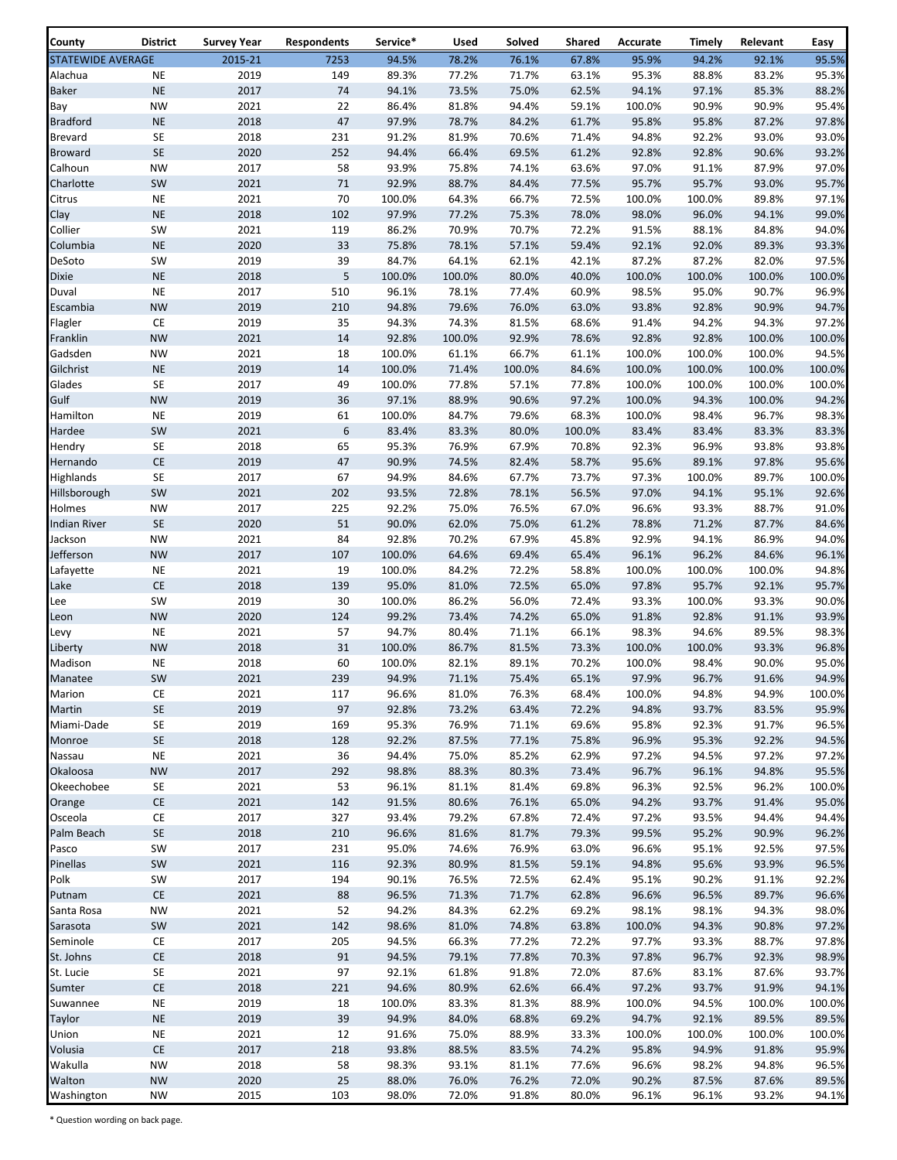| County                   | <b>District</b>                    | <b>Survey Year</b> | <b>Respondents</b> | Service*        | Used           | Solved         | Shared         | Accurate        | Timely          | Relevant       | Easy           |
|--------------------------|------------------------------------|--------------------|--------------------|-----------------|----------------|----------------|----------------|-----------------|-----------------|----------------|----------------|
| <b>STATEWIDE AVERAGE</b> |                                    | 2015-21            | 7253               | 94.5%           | 78.2%          | 76.1%          | 67.8%          | 95.9%           | 94.2%           | 92.1%          | 95.5%          |
| Alachua                  | $\sf NE$                           | 2019               | 149                | 89.3%           | 77.2%          | 71.7%          | 63.1%          | 95.3%           | 88.8%           | 83.2%          | 95.3%          |
| <b>Baker</b>             | $\sf NE$                           | 2017               | 74                 | 94.1%           | 73.5%          | 75.0%          | 62.5%          | 94.1%           | 97.1%           | 85.3%          | 88.2%          |
| Bay                      | <b>NW</b>                          | 2021               | 22                 | 86.4%           | 81.8%          | 94.4%          | 59.1%          | 100.0%          | 90.9%           | 90.9%          | 95.4%          |
| <b>Bradford</b>          | <b>NE</b>                          | 2018               | 47                 | 97.9%           | 78.7%          | 84.2%          | 61.7%          | 95.8%           | 95.8%           | 87.2%          | 97.8%          |
| <b>Brevard</b>           | SE                                 | 2018               | 231                | 91.2%           | 81.9%          | 70.6%          | 71.4%          | 94.8%           | 92.2%           | 93.0%          | 93.0%          |
| <b>Broward</b>           | SE                                 | 2020               | 252                | 94.4%           | 66.4%          | 69.5%          | 61.2%          | 92.8%           | 92.8%           | 90.6%          | 93.2%          |
| Calhoun                  | <b>NW</b>                          | 2017               | 58                 | 93.9%           | 75.8%          | 74.1%          | 63.6%          | 97.0%           | 91.1%           | 87.9%          | 97.0%          |
| Charlotte                | SW                                 | 2021               | 71                 | 92.9%           | 88.7%          | 84.4%          | 77.5%          | 95.7%           | 95.7%           | 93.0%          | 95.7%          |
| Citrus<br>Clay           | <b>NE</b><br>$\sf NE$              | 2021<br>2018       | 70<br>102          | 100.0%<br>97.9% | 64.3%<br>77.2% | 66.7%<br>75.3% | 72.5%<br>78.0% | 100.0%<br>98.0% | 100.0%<br>96.0% | 89.8%<br>94.1% | 97.1%<br>99.0% |
| Collier                  | SW                                 | 2021               | 119                | 86.2%           | 70.9%          | 70.7%          | 72.2%          | 91.5%           | 88.1%           | 84.8%          | 94.0%          |
| Columbia                 | $\sf NE$                           | 2020               | 33                 | 75.8%           | 78.1%          | 57.1%          | 59.4%          | 92.1%           | 92.0%           | 89.3%          | 93.3%          |
| DeSoto                   | SW                                 | 2019               | 39                 | 84.7%           | 64.1%          | 62.1%          | 42.1%          | 87.2%           | 87.2%           | 82.0%          | 97.5%          |
| Dixie                    | $\sf NE$                           | 2018               | 5                  | 100.0%          | 100.0%         | 80.0%          | 40.0%          | 100.0%          | 100.0%          | 100.0%         | 100.0%         |
| Duval                    | <b>NE</b>                          | 2017               | 510                | 96.1%           | 78.1%          | 77.4%          | 60.9%          | 98.5%           | 95.0%           | 90.7%          | 96.9%          |
| Escambia                 | <b>NW</b>                          | 2019               | 210                | 94.8%           | 79.6%          | 76.0%          | 63.0%          | 93.8%           | 92.8%           | 90.9%          | 94.7%          |
| Flagler                  | CE                                 | 2019               | 35                 | 94.3%           | 74.3%          | 81.5%          | 68.6%          | 91.4%           | 94.2%           | 94.3%          | 97.2%          |
| Franklin                 | <b>NW</b>                          | 2021               | 14                 | 92.8%           | 100.0%         | 92.9%          | 78.6%          | 92.8%           | 92.8%           | 100.0%         | 100.0%         |
| Gadsden                  | <b>NW</b>                          | 2021               | 18                 | 100.0%          | 61.1%          | 66.7%          | 61.1%          | 100.0%          | 100.0%          | 100.0%         | 94.5%          |
| Gilchrist                | $\sf NE$                           | 2019               | 14                 | 100.0%          | 71.4%          | 100.0%         | 84.6%          | 100.0%          | 100.0%          | 100.0%         | 100.0%         |
| Glades                   | <b>SE</b>                          | 2017               | 49                 | 100.0%          | 77.8%          | 57.1%          | 77.8%          | 100.0%          | 100.0%          | 100.0%         | 100.0%         |
| Gulf                     | <b>NW</b>                          | 2019               | 36                 | 97.1%           | 88.9%          | 90.6%          | 97.2%          | 100.0%          | 94.3%           | 100.0%         | 94.2%          |
| Hamilton                 | <b>NE</b>                          | 2019               | 61                 | 100.0%          | 84.7%          | 79.6%          | 68.3%          | 100.0%          | 98.4%           | 96.7%          | 98.3%          |
| Hardee                   | SW                                 | 2021               | 6                  | 83.4%           | 83.3%          | 80.0%          | 100.0%         | 83.4%           | 83.4%           | 83.3%          | 83.3%          |
| Hendry                   | SE<br>$\mathsf{CE}\hspace{0.04cm}$ | 2018<br>2019       | 65<br>47           | 95.3%<br>90.9%  | 76.9%<br>74.5% | 67.9%<br>82.4% | 70.8%<br>58.7% | 92.3%<br>95.6%  | 96.9%<br>89.1%  | 93.8%<br>97.8% | 93.8%<br>95.6% |
| Hernando<br>Highlands    | SE                                 | 2017               | 67                 | 94.9%           | 84.6%          | 67.7%          | 73.7%          | 97.3%           | 100.0%          | 89.7%          | 100.0%         |
| Hillsborough             | SW                                 | 2021               | 202                | 93.5%           | 72.8%          | 78.1%          | 56.5%          | 97.0%           | 94.1%           | 95.1%          | 92.6%          |
| Holmes                   | <b>NW</b>                          | 2017               | 225                | 92.2%           | 75.0%          | 76.5%          | 67.0%          | 96.6%           | 93.3%           | 88.7%          | 91.0%          |
| <b>Indian River</b>      | $\mathsf{SE}\xspace$               | 2020               | 51                 | 90.0%           | 62.0%          | 75.0%          | 61.2%          | 78.8%           | 71.2%           | 87.7%          | 84.6%          |
| Jackson                  | <b>NW</b>                          | 2021               | 84                 | 92.8%           | 70.2%          | 67.9%          | 45.8%          | 92.9%           | 94.1%           | 86.9%          | 94.0%          |
| Jefferson                | <b>NW</b>                          | 2017               | 107                | 100.0%          | 64.6%          | 69.4%          | 65.4%          | 96.1%           | 96.2%           | 84.6%          | 96.1%          |
| Lafayette                | <b>NE</b>                          | 2021               | 19                 | 100.0%          | 84.2%          | 72.2%          | 58.8%          | 100.0%          | 100.0%          | 100.0%         | 94.8%          |
| Lake                     | CE                                 | 2018               | 139                | 95.0%           | 81.0%          | 72.5%          | 65.0%          | 97.8%           | 95.7%           | 92.1%          | 95.7%          |
| Lee                      | SW                                 | 2019               | 30                 | 100.0%          | 86.2%          | 56.0%          | 72.4%          | 93.3%           | 100.0%          | 93.3%          | 90.0%          |
| Leon                     | <b>NW</b>                          | 2020               | 124                | 99.2%           | 73.4%          | 74.2%          | 65.0%          | 91.8%           | 92.8%           | 91.1%          | 93.9%          |
| Levy                     | <b>NE</b>                          | 2021               | 57                 | 94.7%           | 80.4%          | 71.1%          | 66.1%          | 98.3%           | 94.6%           | 89.5%          | 98.3%          |
| Liberty                  | <b>NW</b>                          | 2018               | 31                 | 100.0%          | 86.7%          | 81.5%          | 73.3%          | 100.0%          | 100.0%          | 93.3%          | 96.8%          |
| Madison                  | <b>NE</b>                          | 2018               | 60                 | 100.0%          | 82.1%          | 89.1%          | 70.2%          | 100.0%          | 98.4%           | 90.0%          | 95.0%          |
| Manatee                  | SW                                 | 2021               | 239                | 94.9%           | 71.1%          | 75.4%          | 65.1%          | 97.9%           | 96.7%           | 91.6%          | 94.9%          |
| Marion                   | CE<br>SE                           | 2021               | 117<br>97          | 96.6%           | 81.0%          | 76.3%          | 68.4%          | 100.0%          | 94.8%           | 94.9%          | 100.0%         |
| Martin<br>Miami-Dade     | SE                                 | 2019<br>2019       | 169                | 92.8%<br>95.3%  | 73.2%<br>76.9% | 63.4%<br>71.1% | 72.2%<br>69.6% | 94.8%<br>95.8%  | 93.7%<br>92.3%  | 83.5%<br>91.7% | 95.9%<br>96.5% |
| Monroe                   | $\mathsf{SE}\xspace$               | 2018               | 128                | 92.2%           | 87.5%          | 77.1%          | 75.8%          | 96.9%           | 95.3%           | 92.2%          | 94.5%          |
| Nassau                   | <b>NE</b>                          | 2021               | 36                 | 94.4%           | 75.0%          | 85.2%          | 62.9%          | 97.2%           | 94.5%           | 97.2%          | 97.2%          |
| Okaloosa                 | <b>NW</b>                          | 2017               | 292                | 98.8%           | 88.3%          | 80.3%          | 73.4%          | 96.7%           | 96.1%           | 94.8%          | 95.5%          |
| Okeechobee               | SE                                 | 2021               | 53                 | 96.1%           | 81.1%          | 81.4%          | 69.8%          | 96.3%           | 92.5%           | 96.2%          | 100.0%         |
| Orange                   | $\mathsf{CE}\!$                    | 2021               | 142                | 91.5%           | 80.6%          | 76.1%          | 65.0%          | 94.2%           | 93.7%           | 91.4%          | 95.0%          |
| Osceola                  | CE                                 | 2017               | 327                | 93.4%           | 79.2%          | 67.8%          | 72.4%          | 97.2%           | 93.5%           | 94.4%          | 94.4%          |
| Palm Beach               | SE                                 | 2018               | 210                | 96.6%           | 81.6%          | 81.7%          | 79.3%          | 99.5%           | 95.2%           | 90.9%          | 96.2%          |
| Pasco                    | SW                                 | 2017               | 231                | 95.0%           | 74.6%          | 76.9%          | 63.0%          | 96.6%           | 95.1%           | 92.5%          | 97.5%          |
| Pinellas                 | SW                                 | 2021               | 116                | 92.3%           | 80.9%          | 81.5%          | 59.1%          | 94.8%           | 95.6%           | 93.9%          | 96.5%          |
| Polk                     | SW                                 | 2017               | 194                | 90.1%           | 76.5%          | 72.5%          | 62.4%          | 95.1%           | 90.2%           | 91.1%          | 92.2%          |
| Putnam                   | <b>CE</b>                          | 2021               | 88                 | 96.5%           | 71.3%          | 71.7%          | 62.8%          | 96.6%           | 96.5%           | 89.7%          | 96.6%          |
| Santa Rosa               | <b>NW</b>                          | 2021               | 52                 | 94.2%           | 84.3%          | 62.2%          | 69.2%          | 98.1%           | 98.1%           | 94.3%          | 98.0%          |
| Sarasota                 | SW                                 | 2021               | 142                | 98.6%           | 81.0%          | 74.8%          | 63.8%          | 100.0%          | 94.3%           | 90.8%          | 97.2%          |
| Seminole                 | CE                                 | 2017               | 205                | 94.5%           | 66.3%          | 77.2%          | 72.2%          | 97.7%           | 93.3%           | 88.7%          | 97.8%          |
| St. Johns                | $\mathsf{CE}\hspace{0.04cm}$       | 2018               | 91<br>97           | 94.5%           | 79.1%          | 77.8%          | 70.3%          | 97.8%           | 96.7%           | 92.3%          | 98.9%<br>93.7% |
| St. Lucie<br>Sumter      | SE<br>$\mathsf{CE}\!$              | 2021<br>2018       | 221                | 92.1%<br>94.6%  | 61.8%<br>80.9% | 91.8%<br>62.6% | 72.0%<br>66.4% | 87.6%<br>97.2%  | 83.1%<br>93.7%  | 87.6%<br>91.9% | 94.1%          |
| Suwannee                 | <b>NE</b>                          | 2019               | 18                 | 100.0%          | 83.3%          | 81.3%          | 88.9%          | 100.0%          | 94.5%           | 100.0%         | 100.0%         |
| Taylor                   | $\sf NE$                           | 2019               | 39                 | 94.9%           | 84.0%          | 68.8%          | 69.2%          | 94.7%           | 92.1%           | 89.5%          | 89.5%          |
| Union                    | <b>NE</b>                          | 2021               | 12                 | 91.6%           | 75.0%          | 88.9%          | 33.3%          | 100.0%          | 100.0%          | 100.0%         | 100.0%         |
| Volusia                  | $\mathsf{CE}\!$                    | 2017               | 218                | 93.8%           | 88.5%          | 83.5%          | 74.2%          | 95.8%           | 94.9%           | 91.8%          | 95.9%          |
| Wakulla                  | <b>NW</b>                          | 2018               | 58                 | 98.3%           | 93.1%          | 81.1%          | 77.6%          | 96.6%           | 98.2%           | 94.8%          | 96.5%          |
| Walton                   | <b>NW</b>                          | 2020               | 25                 | 88.0%           | 76.0%          | 76.2%          | 72.0%          | 90.2%           | 87.5%           | 87.6%          | 89.5%          |
| Washington               | <b>NW</b>                          | 2015               | 103                | 98.0%           | 72.0%          | 91.8%          | 80.0%          | 96.1%           | 96.1%           | 93.2%          | 94.1%          |

\* Question wording on back page.

 $\overline{1}$